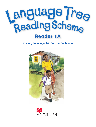

Primary Language Arts for the Caribbean



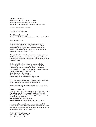Macmillan Education Between Towns Road, Oxford OX4 3PP A division of Macmillan Publishers Limited Companies and representatives throughout the world

www.macmillan-caribbean.com

ISBN: 978-0-230-41233-0

Text © Leonie Bennett 2012 Design and illustration © Macmillan Publishers Limited 2012

First published 2012

All rights reserved; no part of this publication may be reproduced, stored in a retrieval system, transmitted in any form, or by any means, electronic, mechanical, photocopying, recording, or otherwise, without the prior written permission of the publishers.

These materials may contain links for third party websites. We have no control over, and are not responsible for, the contents of such third party websites. Please use care when accessing them.

Designed by Macmillan Education and John Barker Typeset by Orchard Publishing, Cape Town, South Africa Illustrated by Pamela Goodchild, Jenny Mumford and Joanna Williams c/o BL Kearley; Robin Lawrie c/o Beehive Illustration; Neil Rogers; Norman Young Cover design by John Barker Cover illustration by Rachel Parker Picture research by Victoria Townsley-Gaunt

The authors and publishers would like to thank the following for permission to reproduce their photographs:

**Art Directors & Trip Photo Library**/Helene Rogers pp38, 41;

**Corbis**/Moodboard p23; **Getty**/altrendo images p25, Getty/Hannele Lahti pp39(l), 42; **Photolibrary**/Lindy Powers p27, Photolibrary/Richard Semik p59, Photolibrary/Aerial Skelley p39(r); Photolibrary/ Photosindia Subscription p40; **Rex Features**/Sipa Press pp24, 27; **SuperStock**/Blend Images pp58, 60(b), 60(t), 61, 62.

Although we have tried to trace and contact copyright holders before publication, in some cases this has not been possible. If contacted we will be pleased to rectify any errors or omissions at the earliest opportunity.

Printed and bound in Malaysia 2016 2015 2014 2013 2012 10 9 8 7 6 5 4 3 2 1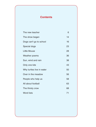## **Contents**

 $\bigoplus$ 

| The new teacher           | 6  |
|---------------------------|----|
| The show began            | 14 |
| Dogs can't go to school   | 16 |
| Special dogs              | 23 |
| Little Mouse              | 28 |
| Weather poems             | 36 |
| Sun, wind and rain        | 38 |
| Only one kite             | 43 |
| Why turtles live in water | 50 |
| Over in the meadow        | 56 |
| People who help us        | 58 |
| All about football        | 63 |
| The thirsty crow          | 68 |
| <b>Word lists</b>         | 71 |
|                           |    |

 $\bigoplus$ 

 $\bigoplus$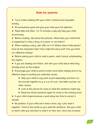## **Note for parents**

◆ Try to make reading with your child a relaxed and enjoyable activity.

◆ Sit somewhere quiet and give your child your full attention.

◆ Read little and often; 10–15 minutes a day will help your child enormously.

 $\blacklozenge$  Before reading, talk about the pictures. What does your child think is happening? Is this a story or a poem or non-fiction?

◆ When reading a story, ask: Who is in it? Where does it take place? How do the characters feel? How might the story end? Can you think of a different ending?

◆ Before asking your child to read a poem, read it aloud, emphasising the rhythm.

◆ If you are reading non-fiction, talk with your child about what they already know on the subject.

◆ Encourage your child to point to each word while reading and to try different ways of working out unfamiliar words.

♦ Help your child to say each sound separately and then run the sounds together (e.g. p-u-p; sh-o-p). Use letter sounds, not letter names.

♦ Look at the picture for clues to what the sentence might say.

♦ Read the whole sentence again for clues to the missing word.

◆ If your child mispronounces a word allow her time to correct it herself.

◆ Be positive. If your child can't read a word, say 'Let's read it together'. Point to the words as you read the sentence. Ask your child to read it with you and then to read it on their own. Give lots of praise.